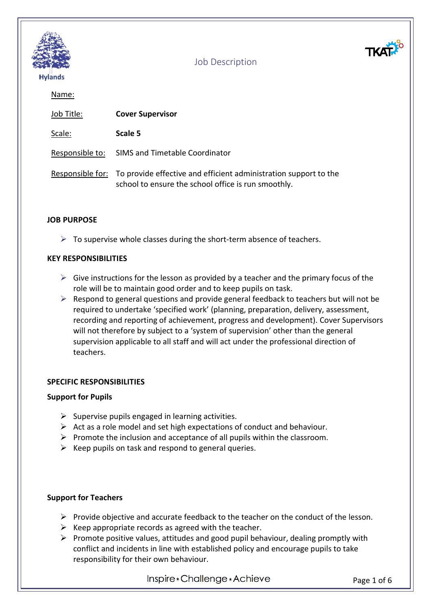

Name:

| Job Title: | <b>Cover Supervisor</b>                                                                                                                  |
|------------|------------------------------------------------------------------------------------------------------------------------------------------|
| Scale:     | Scale 5                                                                                                                                  |
|            | Responsible to: SIMS and Timetable Coordinator                                                                                           |
|            | Responsible for: To provide effective and efficient administration support to the<br>school to ensure the school office is run smoothly. |

#### **JOB PURPOSE**

 $\triangleright$  To supervise whole classes during the short-term absence of teachers.

#### **KEY RESPONSIBILITIES**

- $\triangleright$  Give instructions for the lesson as provided by a teacher and the primary focus of the role will be to maintain good order and to keep pupils on task.
- $\triangleright$  Respond to general questions and provide general feedback to teachers but will not be required to undertake 'specified work' (planning, preparation, delivery, assessment, recording and reporting of achievement, progress and development). Cover Supervisors will not therefore by subject to a 'system of supervision' other than the general supervision applicable to all staff and will act under the professional direction of teachers.

#### **SPECIFIC RESPONSIBILITIES**

#### **Support for Pupils**

- $\triangleright$  Supervise pupils engaged in learning activities.
- $\triangleright$  Act as a role model and set high expectations of conduct and behaviour.
- $\triangleright$  Promote the inclusion and acceptance of all pupils within the classroom.
- $\triangleright$  Keep pupils on task and respond to general queries.

#### **Support for Teachers**

- $\triangleright$  Provide objective and accurate feedback to the teacher on the conduct of the lesson.
- $\triangleright$  Keep appropriate records as agreed with the teacher.
- $\triangleright$  Promote positive values, attitudes and good pupil behaviour, dealing promptly with conflict and incidents in line with established policy and encourage pupils to take responsibility for their own behaviour.

Inspire\*Challenge\*Achieve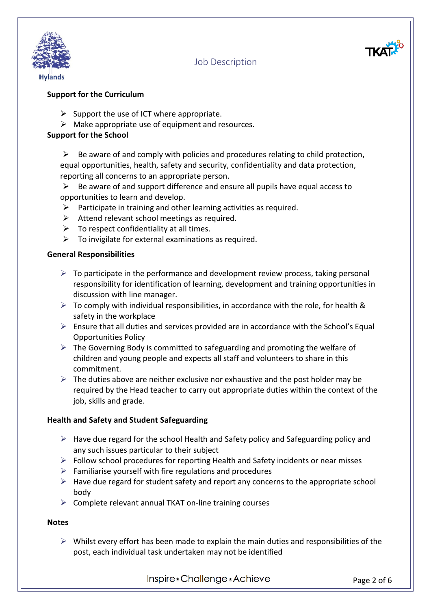



- $\triangleright$  Support the use of ICT where appropriate.
- $\triangleright$  Make appropriate use of equipment and resources.

#### **Support for the School**

 $\triangleright$  Be aware of and comply with policies and procedures relating to child protection, equal opportunities, health, safety and security, confidentiality and data protection, reporting all concerns to an appropriate person.

 $\triangleright$  Be aware of and support difference and ensure all pupils have equal access to opportunities to learn and develop.

- $\triangleright$  Participate in training and other learning activities as required.
- $\triangleright$  Attend relevant school meetings as required.
- $\triangleright$  To respect confidentiality at all times.
- $\triangleright$  To invigilate for external examinations as required.

#### **General Responsibilities**

- $\triangleright$  To participate in the performance and development review process, taking personal responsibility for identification of learning, development and training opportunities in discussion with line manager.
- $\triangleright$  To comply with individual responsibilities, in accordance with the role, for health & safety in the workplace
- $\triangleright$  Ensure that all duties and services provided are in accordance with the School's Equal Opportunities Policy
- $\triangleright$  The Governing Body is committed to safeguarding and promoting the welfare of children and young people and expects all staff and volunteers to share in this commitment.
- $\triangleright$  The duties above are neither exclusive nor exhaustive and the post holder may be required by the Head teacher to carry out appropriate duties within the context of the job, skills and grade.

#### **Health and Safety and Student Safeguarding**

- $\triangleright$  Have due regard for the school Health and Safety policy and Safeguarding policy and any such issues particular to their subject
- $\triangleright$  Follow school procedures for reporting Health and Safety incidents or near misses
- $\triangleright$  Familiarise yourself with fire regulations and procedures
- $\triangleright$  Have due regard for student safety and report any concerns to the appropriate school body
- $\triangleright$  Complete relevant annual TKAT on-line training courses

#### **Notes**

 $\triangleright$  Whilst every effort has been made to explain the main duties and responsibilities of the post, each individual task undertaken may not be identified

Inspire \* Challenge \* Achieve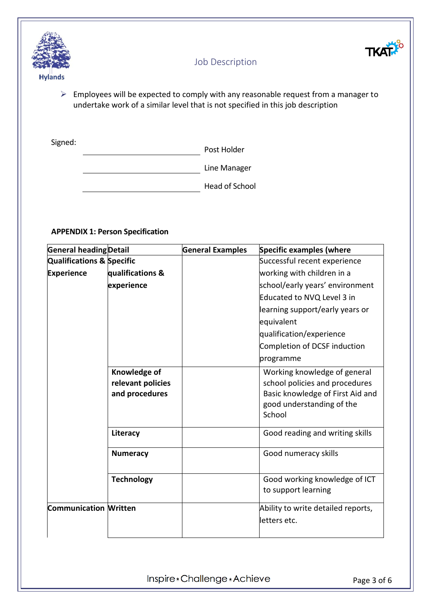



 $\triangleright$  Employees will be expected to comply with any reasonable request from a manager to undertake work of a similar level that is not specified in this job description

Signed:

Post Holder

Line Manager

**Head of School** 

#### **APPENDIX 1: Person Specification**

| General heading Detail               |                                                     | <b>General Examples</b> | <b>Specific examples (where</b>                                                                                                           |
|--------------------------------------|-----------------------------------------------------|-------------------------|-------------------------------------------------------------------------------------------------------------------------------------------|
| <b>Qualifications &amp; Specific</b> |                                                     |                         | Successful recent experience                                                                                                              |
| <b>Experience</b>                    | qualifications &                                    |                         | working with children in a                                                                                                                |
|                                      | experience                                          |                         | school/early years' environment                                                                                                           |
|                                      |                                                     |                         | Educated to NVQ Level 3 in                                                                                                                |
|                                      |                                                     |                         | learning support/early years or                                                                                                           |
|                                      |                                                     |                         | equivalent                                                                                                                                |
|                                      |                                                     |                         | qualification/experience                                                                                                                  |
|                                      |                                                     |                         | Completion of DCSF induction                                                                                                              |
|                                      |                                                     |                         | programme                                                                                                                                 |
|                                      | Knowledge of<br>relevant policies<br>and procedures |                         | Working knowledge of general<br>school policies and procedures<br>Basic knowledge of First Aid and<br>good understanding of the<br>School |
|                                      | Literacy                                            |                         | Good reading and writing skills                                                                                                           |
|                                      | <b>Numeracy</b>                                     |                         | Good numeracy skills                                                                                                                      |
|                                      | <b>Technology</b>                                   |                         | Good working knowledge of ICT<br>to support learning                                                                                      |
| <b>Communication Written</b>         |                                                     |                         | Ability to write detailed reports,<br>letters etc.                                                                                        |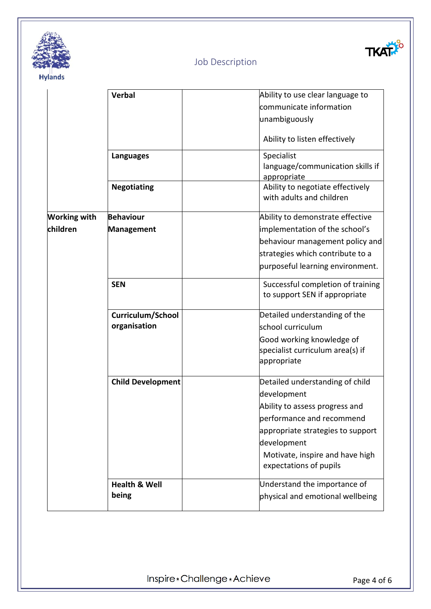

# TKATA

# Job Description

|                     | <b>Verbal</b>            | Ability to use clear language to                                   |
|---------------------|--------------------------|--------------------------------------------------------------------|
|                     |                          | communicate information                                            |
|                     |                          | unambiguously                                                      |
|                     |                          | Ability to listen effectively                                      |
|                     | <b>Languages</b>         | Specialist                                                         |
|                     |                          | language/communication skills if<br>appropriate                    |
|                     | <b>Negotiating</b>       | Ability to negotiate effectively<br>with adults and children       |
| <b>Working with</b> | <b>Behaviour</b>         | Ability to demonstrate effective                                   |
| children            | Management               | implementation of the school's                                     |
|                     |                          | behaviour management policy and                                    |
|                     |                          | strategies which contribute to a                                   |
|                     |                          | purposeful learning environment.                                   |
|                     | <b>SEN</b>               | Successful completion of training<br>to support SEN if appropriate |
|                     | Curriculum/School        | Detailed understanding of the                                      |
|                     | organisation             | school curriculum                                                  |
|                     |                          | Good working knowledge of                                          |
|                     |                          | specialist curriculum area(s) if<br>appropriate                    |
|                     | <b>Child Development</b> | Detailed understanding of child                                    |
|                     |                          | development                                                        |
|                     |                          | Ability to assess progress and                                     |
|                     |                          | performance and recommend                                          |
|                     |                          | appropriate strategies to support                                  |
|                     |                          | development                                                        |
|                     |                          | Motivate, inspire and have high<br>expectations of pupils          |
|                     | <b>Health &amp; Well</b> | Understand the importance of                                       |
|                     | being                    | physical and emotional wellbeing                                   |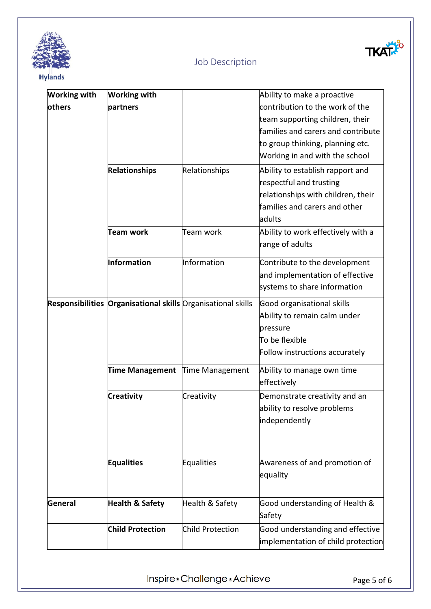



| <b>Working with</b> | <b>Working with</b>                                          |                         | Ability to make a proactive        |
|---------------------|--------------------------------------------------------------|-------------------------|------------------------------------|
| others              | partners                                                     |                         | contribution to the work of the    |
|                     |                                                              |                         | team supporting children, their    |
|                     |                                                              |                         | families and carers and contribute |
|                     |                                                              |                         | to group thinking, planning etc.   |
|                     |                                                              |                         | Working in and with the school     |
|                     | <b>Relationships</b>                                         | Relationships           | Ability to establish rapport and   |
|                     |                                                              |                         | respectful and trusting            |
|                     |                                                              |                         | relationships with children, their |
|                     |                                                              |                         | families and carers and other      |
|                     |                                                              |                         | ladults                            |
|                     | <b>Team work</b>                                             | Team work               | Ability to work effectively with a |
|                     |                                                              |                         | range of adults                    |
|                     | Information                                                  | Information             | Contribute to the development      |
|                     |                                                              |                         | and implementation of effective    |
|                     |                                                              |                         | systems to share information       |
|                     | Responsibilities Organisational skills Organisational skills |                         | Good organisational skills         |
|                     |                                                              |                         | Ability to remain calm under       |
|                     |                                                              |                         | pressure                           |
|                     |                                                              |                         | To be flexible                     |
|                     |                                                              |                         | Follow instructions accurately     |
|                     | <b>Time Management</b>                                       | Time Management         | Ability to manage own time         |
|                     |                                                              |                         | effectively                        |
|                     | <b>Creativity</b>                                            | Creativity              | Demonstrate creativity and an      |
|                     |                                                              |                         | ability to resolve problems        |
|                     |                                                              |                         | independently                      |
|                     |                                                              |                         |                                    |
|                     | <b>Equalities</b>                                            | Equalities              | Awareness of and promotion of      |
|                     |                                                              |                         | equality                           |
|                     |                                                              |                         |                                    |
| General             | <b>Health &amp; Safety</b>                                   | Health & Safety         | Good understanding of Health &     |
|                     |                                                              |                         | Safety                             |
|                     | <b>Child Protection</b>                                      | <b>Child Protection</b> | Good understanding and effective   |
|                     |                                                              |                         | implementation of child protection |